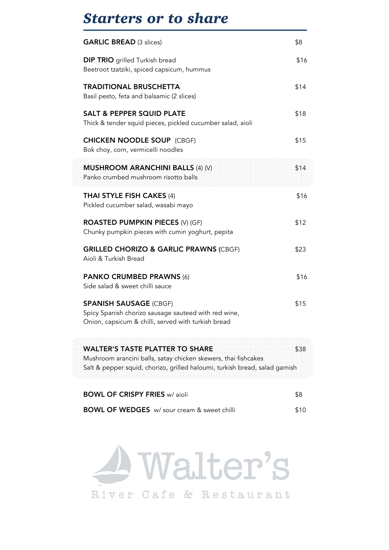## *Starters or to share*

| <b>GARLIC BREAD (3 slices)</b>                                                                                                                                                          | \$8  |
|-----------------------------------------------------------------------------------------------------------------------------------------------------------------------------------------|------|
| <b>DIP TRIO</b> grilled Turkish bread<br>Beetroot tzatziki, spiced capsicum, hummus                                                                                                     | \$16 |
| <b>TRADITIONAL BRUSCHETTA</b><br>Basil pesto, feta and balsamic (2 slices)                                                                                                              | \$14 |
| <b>SALT &amp; PEPPER SQUID PLATE</b><br>Thick & tender squid pieces, pickled cucumber salad, aioli                                                                                      | \$18 |
| <b>CHICKEN NOODLE SOUP (CBGF)</b><br>Bok choy, corn, vermicelli noodles                                                                                                                 | \$15 |
| MUSHROOM ARANCHINI BALLS (4) (V)<br>Panko crumbed mushroom risotto balls                                                                                                                | \$14 |
| THAI STYLE FISH CAKES (4)<br>Pickled cucumber salad, wasabi mayo                                                                                                                        | \$16 |
| <b>ROASTED PUMPKIN PIECES (V) (GF)</b><br>Chunky pumpkin pieces with cumin yoghurt, pepita                                                                                              | \$12 |
| <b>GRILLED CHORIZO &amp; GARLIC PRAWNS (CBGF)</b><br>Aioli & Turkish Bread                                                                                                              | \$23 |
| <b>PANKO CRUMBED PRAWNS (6)</b><br>Side salad & sweet chilli sauce                                                                                                                      | \$16 |
| <b>SPANISH SAUSAGE (CBGF)</b><br>Spicy Spanish chorizo sausage sauteed with red wine,<br>Onion, capsicum & chilli, served with turkish bread                                            | \$15 |
| <b>WALTER'S TASTE PLATTER TO SHARE</b><br>Mushroom arancini balls, satay chicken skewers, thai fishcakes<br>Salt & pepper squid, chorizo, grilled haloumi, turkish bread, salad garnish | \$38 |
| <b>BOWL OF CRISPY FRIES w/ aioli</b>                                                                                                                                                    | \$8  |
| <b>BOWL OF WEDGES</b> w/ sour cream & sweet chilli                                                                                                                                      | \$10 |